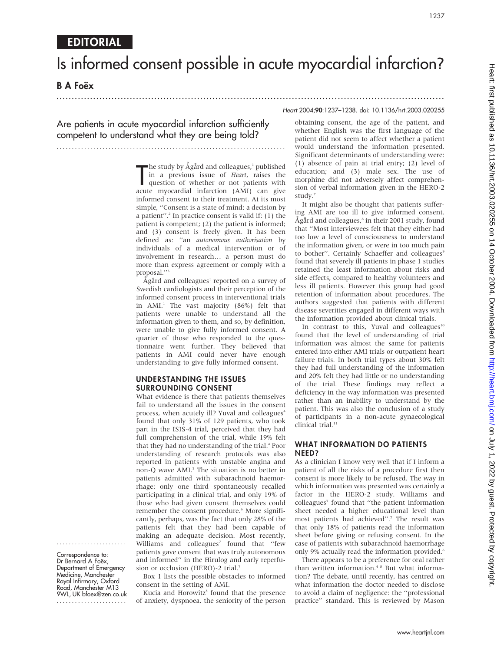# Is informed consent possible in acute myocardial infarction?

## **B A Foëx**

## ...............................................................................................................................

1237

#### Heart 2004;90:1237–1238. doi: 10.1136/hrt.2003.020255

Are patients in acute myocardial infarction sufficiently competent to understand what they are being told?

...........................................................................

The study by Agard and colleagues, published<br>in a previous issue of *Heart*, raises the<br>question of whether or not patients with<br>acute myocardial infarction (AMI) can give the study by  $\AA$ gård and colleagues,<sup>1</sup> published in a previous issue of Heart, raises the question of whether or not patients with informed consent to their treatment. At its most simple, "Consent is a state of mind: a decision by a patient".<sup>2</sup> In practice consent is valid if:  $(1)$  the patient is competent; (2) the patient is informed; and (3) consent is freely given. It has been defined as: ''an autonomous authorisation by individuals of a medical intervention or of involvement in research… a person must do more than express agreement or comply with a proposal.''3

Agård and colleagues<sup>1</sup> reported on a survey of Swedish cardiologists and their perception of the informed consent process in interventional trials in  $AMI<sup>1</sup>$ . The vast majority (86%) felt that patients were unable to understand all the information given to them, and so, by definition, were unable to give fully informed consent. A quarter of those who responded to the questionnaire went further. They believed that patients in AMI could never have enough understanding to give fully informed consent.

#### UNDERSTANDING THE ISSUES SURROUNDING CONSENT

What evidence is there that patients themselves fail to understand all the issues in the consent process, when acutely ill? Yuval and colleagues<sup>4</sup> found that only 31% of 129 patients, who took part in the ISIS-4 trial, perceived that they had full comprehension of the trial, while 19% felt that they had no understanding of the trial.<sup>4</sup> Poor understanding of research protocols was also reported in patients with unstable angina and non-Q wave AMI.<sup>5</sup> The situation is no better in patients admitted with subarachnoid haemorrhage: only one third spontaneously recalled participating in a clinical trial, and only 19% of those who had given consent themselves could remember the consent procedure.<sup>6</sup> More significantly, perhaps, was the fact that only 28% of the patients felt that they had been capable of making an adequate decision. Most recently, Williams and colleagues<sup>7</sup> found that "few patients gave consent that was truly autonomous and informed'' in the Hirulog and early reperfusion or occlusion (HERO)-2 trial.7

Box 1 lists the possible obstacles to informed consent in the setting of AMI.

Kucia and Horowitz<sup>5</sup> found that the presence of anxiety, dyspnoea, the seniority of the person

obtaining consent, the age of the patient, and whether English was the first language of the patient did not seem to affect whether a patient would understand the information presented. Significant determinants of understanding were: (1) absence of pain at trial entry; (2) level of education; and (3) male sex. The use of morphine did not adversely affect comprehension of verbal information given in the HERO-2 study.<sup>7</sup>

It might also be thought that patients suffering AMI are too ill to give informed consent. Ågård and colleagues,<sup>8</sup> in their 2001 study, found that ''Most interviewees felt that they either had too low a level of consciousness to understand the information given, or were in too much pain to bother". Certainly Schaeffer and colleagues<sup>9</sup> found that severely ill patients in phase 1 studies retained the least information about risks and side effects, compared to healthy volunteers and less ill patients. However this group had good retention of information about procedures. The authors suggested that patients with different disease severities engaged in different ways with the information provided about clinical trials.

In contrast to this, Yuval and colleagues<sup>10</sup> found that the level of understanding of trial information was almost the same for patients entered into either AMI trials or outpatient heart failure trials. In both trial types about 30% felt they had full understanding of the information and 20% felt they had little or no understanding of the trial. These findings may reflect a deficiency in the way information was presented rather than an inability to understand by the patient. This was also the conclusion of a study of participants in a non-acute gynaecological clinical trial.<sup>11</sup>

#### WHAT INFORMATION DO PATIENTS NEED?

As a clinician I know very well that if I inform a patient of all the risks of a procedure first then consent is more likely to be refused. The way in which information was presented was certainly a factor in the HERO-2 study. Williams and colleagues<sup>7</sup> found that "the patient information sheet needed a higher educational level than most patients had achieved''.7 The result was that only 18% of patients read the information sheet before giving or refusing consent. In the case of patients with subarachnoid haemorrhage only 9% actually read the information provided.<sup>6</sup>

There appears to be a preference for oral rather than written information.<sup>48</sup> But what information? The debate, until recently, has centred on what information the doctor needed to disclose to avoid a claim of negligence: the ''professional practice'' standard. This is reviewed by Mason

Correspondence to: Dr Bernard A Foëx, Department of Emergency Medicine, Manchester Royal Infirmary, Oxford Road, Manchester M13 9WL, UK bfoex@zen.co.uk .......................

.......................